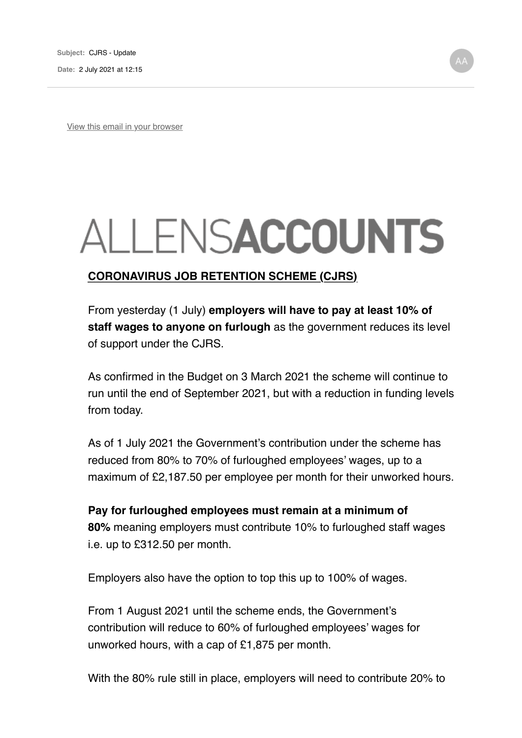View this email in your browser

## ALLENSACCOUNTS

## **CORONAVIRUS JOB RETENTION SCHEME (CJRS)**

From yesterday (1 July) **employers will have to pay at least 10% of staff wages to anyone on furlough** as the government reduces its level of support under the CJRS.

As confirmed in the Budget on 3 March 2021 the scheme will continue to run until the end of September 2021, but with a reduction in funding levels from today.

As of 1 July 2021 the Government's contribution under the scheme has reduced from 80% to 70% of furloughed employees' wages, up to a maximum of £2,187.50 per employee per month for their unworked hours.

**Pay for furloughed employees must remain at a minimum of 80%** meaning employers must contribute 10% to furloughed staff wages i.e. up to £312.50 per month.

Employers also have the option to top this up to 100% of wages.

From 1 August 2021 until the scheme ends, the Government's contribution will reduce to 60% of furloughed employees' wages for unworked hours, with a cap of £1,875 per month.

With the 80% rule still in place, employers will need to contribute 20% to